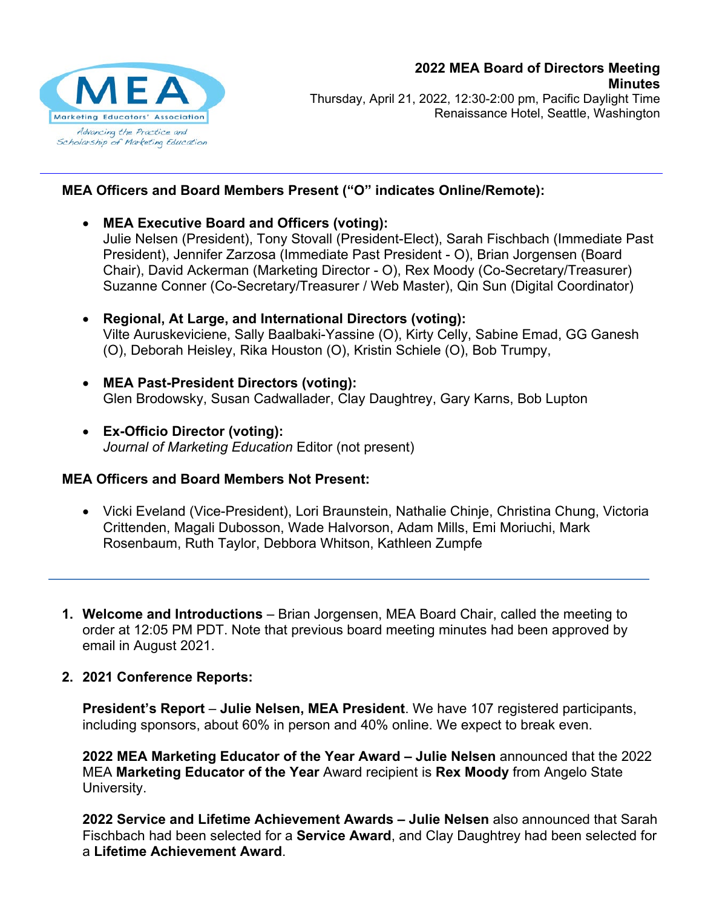

Thursday, April 21, 2022, 12:30-2:00 pm, Pacific Daylight Time Renaissance Hotel, Seattle, Washington

## **MEA Officers and Board Members Present ("O" indicates Online/Remote):**

- **MEA Executive Board and Officers (voting):** Julie Nelsen (President), Tony Stovall (President-Elect), Sarah Fischbach (Immediate Past President), Jennifer Zarzosa (Immediate Past President - O), Brian Jorgensen (Board Chair), David Ackerman (Marketing Director - O), Rex Moody (Co-Secretary/Treasurer) Suzanne Conner (Co-Secretary/Treasurer / Web Master), Qin Sun (Digital Coordinator)
- **Regional, At Large, and International Directors (voting):** Vilte Auruskeviciene, Sally Baalbaki-Yassine (O), Kirty Celly, Sabine Emad, GG Ganesh (O), Deborah Heisley, Rika Houston (O), Kristin Schiele (O), Bob Trumpy,
- **MEA Past-President Directors (voting):** Glen Brodowsky, Susan Cadwallader, Clay Daughtrey, Gary Karns, Bob Lupton
- **Ex-Officio Director (voting):** *Journal of Marketing Education* Editor (not present)

## **MEA Officers and Board Members Not Present:**

- Vicki Eveland (Vice-President), Lori Braunstein, Nathalie Chinje, Christina Chung, Victoria Crittenden, Magali Dubosson, Wade Halvorson, Adam Mills, Emi Moriuchi, Mark Rosenbaum, Ruth Taylor, Debbora Whitson, Kathleen Zumpfe
- **1. Welcome and Introductions** Brian Jorgensen, MEA Board Chair, called the meeting to order at 12:05 PM PDT. Note that previous board meeting minutes had been approved by email in August 2021.
- **2. 2021 Conference Reports:**

**President's Report** – **Julie Nelsen, MEA President**. We have 107 registered participants, including sponsors, about 60% in person and 40% online. We expect to break even.

**2022 MEA Marketing Educator of the Year Award – Julie Nelsen** announced that the 2022 MEA **Marketing Educator of the Year** Award recipient is **Rex Moody** from Angelo State University.

**2022 Service and Lifetime Achievement Awards – Julie Nelsen** also announced that Sarah Fischbach had been selected for a **Service Award**, and Clay Daughtrey had been selected for a **Lifetime Achievement Award**.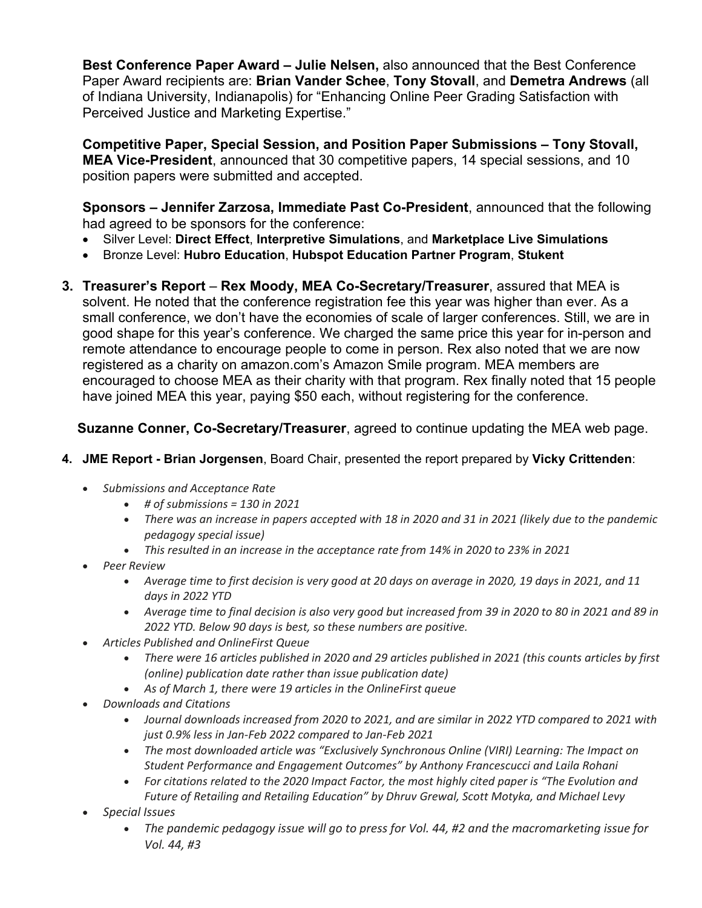**Best Conference Paper Award – Julie Nelsen,** also announced that the Best Conference Paper Award recipients are: **Brian Vander Schee**, **Tony Stovall**, and **Demetra Andrews** (all of Indiana University, Indianapolis) for "Enhancing Online Peer Grading Satisfaction with Perceived Justice and Marketing Expertise."

**Competitive Paper, Special Session, and Position Paper Submissions – Tony Stovall, MEA Vice-President**, announced that 30 competitive papers, 14 special sessions, and 10 position papers were submitted and accepted.

**Sponsors – Jennifer Zarzosa, Immediate Past Co-President**, announced that the following had agreed to be sponsors for the conference:

- Silver Level: **Direct Effect**, **Interpretive Simulations**, and **Marketplace Live Simulations**
- Bronze Level: **Hubro Education**, **Hubspot Education Partner Program**, **Stukent**
- **3. Treasurer's Report Rex Moody, MEA Co-Secretary/Treasurer**, assured that MEA is solvent. He noted that the conference registration fee this year was higher than ever. As a small conference, we don't have the economies of scale of larger conferences. Still, we are in good shape for this year's conference. We charged the same price this year for in-person and remote attendance to encourage people to come in person. Rex also noted that we are now registered as a charity on amazon.com's Amazon Smile program. MEA members are encouraged to choose MEA as their charity with that program. Rex finally noted that 15 people have joined MEA this year, paying \$50 each, without registering for the conference.

## **Suzanne Conner, Co-Secretary/Treasurer**, agreed to continue updating the MEA web page.

- **4. JME Report - Brian Jorgensen**, Board Chair, presented the report prepared by **Vicky Crittenden**:
	- *Submissions and Acceptance Rate*
		- *# of submissions = 130 in 2021*
		- *There was an increase in papers accepted with 18 in 2020 and 31 in 2021 (likely due to the pandemic pedagogy special issue)*
		- *This resulted in an increase in the acceptance rate from 14% in 2020 to 23% in 2021*
	- *Peer Review*
		- *Average time to first decision is very good at 20 days on average in 2020, 19 days in 2021, and 11 days in 2022 YTD*
		- *Average time to final decision is also very good but increased from 39 in 2020 to 80 in 2021 and 89 in 2022 YTD. Below 90 days is best, so these numbers are positive.*
	- *Articles Published and OnlineFirst Queue*
		- *There were 16 articles published in 2020 and 29 articles published in 2021 (this counts articles by first (online) publication date rather than issue publication date)*
		- *As of March 1, there were 19 articles in the OnlineFirst queue*
	- *Downloads and Citations*
		- *Journal downloads increased from 2020 to 2021, and are similar in 2022 YTD compared to 2021 with just 0.9% less in Jan-Feb 2022 compared to Jan-Feb 2021*
		- *The most downloaded article was "Exclusively Synchronous Online (VIRI) Learning: The Impact on Student Performance and Engagement Outcomes" by Anthony Francescucci and Laila Rohani*
		- *For citations related to the 2020 Impact Factor, the most highly cited paper is "The Evolution and Future of Retailing and Retailing Education" by Dhruv Grewal, Scott Motyka, and Michael Levy*
	- *Special Issues*
		- *The pandemic pedagogy issue will go to press for Vol. 44, #2 and the macromarketing issue for Vol. 44, #3*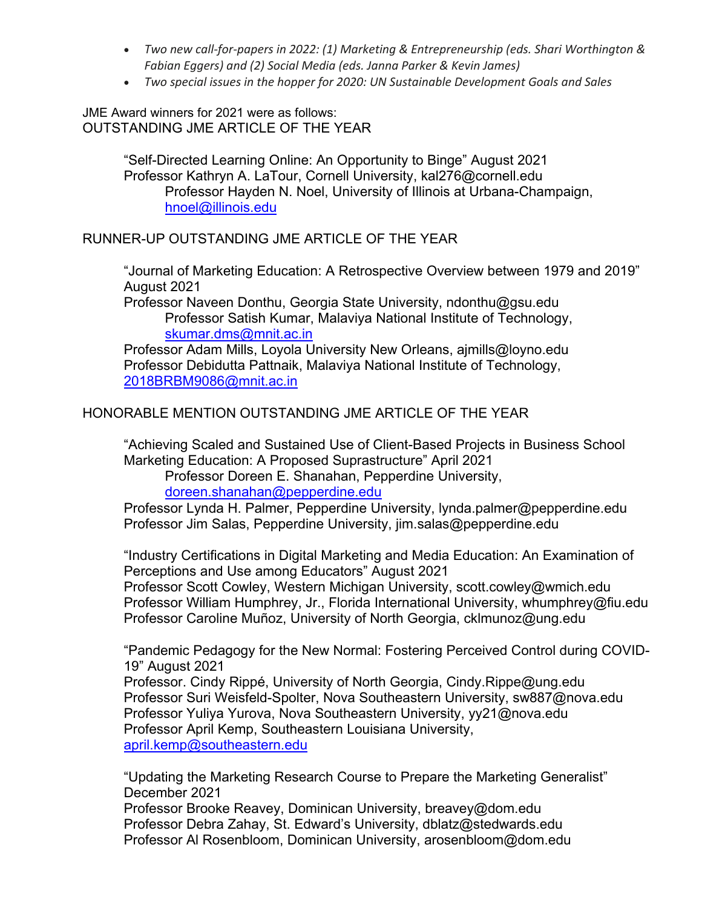- *Two new call-for-papers in 2022: (1) Marketing & Entrepreneurship (eds. Shari Worthington & Fabian Eggers) and (2) Social Media (eds. Janna Parker & Kevin James)*
- *Two special issues in the hopper for 2020: UN Sustainable Development Goals and Sales*

JME Award winners for 2021 were as follows: OUTSTANDING JME ARTICLE OF THE YEAR

> "Self-Directed Learning Online: An Opportunity to Binge" August 2021 Professor Kathryn A. LaTour, Cornell University, [kal276@cornell.edu](mailto:kal276@cornell.edu) Professor Hayden N. Noel, University of Illinois at Urbana-Champaign, [hnoel@illinois.edu](mailto:hnoel@illinois.edu)

### RUNNER-UP OUTSTANDING JME ARTICLE OF THE YEAR

"Journal of Marketing Education: A Retrospective Overview between 1979 and 2019" August 2021

Professor Naveen Donthu, Georgia State University, [ndonthu@gsu.edu](mailto:ndonthu@gsu.edu) Professor Satish Kumar, Malaviya National Institute of Technology, [skumar.dms@mnit.ac.in](mailto:skumar.dms@mnit.ac.in)

Professor Adam Mills, Loyola University New Orleans, [ajmills@loyno.edu](mailto:ajmills@loyno.edu) Professor Debidutta Pattnaik, Malaviya National Institute of Technology, [2018BRBM9086@mnit.ac.in](mailto:2018BRBM9086@mnit.ac.in)

#### HONORABLE MENTION OUTSTANDING JME ARTICLE OF THE YEAR

"Achieving Scaled and Sustained Use of Client-Based Projects in Business School Marketing Education: A Proposed Suprastructure" April 2021

Professor Doreen E. Shanahan, Pepperdine University, [doreen.shanahan@pepperdine.edu](mailto:doreen.shanahan@pepperdine.edu)

Professor Lynda H. Palmer, Pepperdine University, [lynda.palmer@pepperdine.edu](mailto:lynda.palmer@pepperdine.edu) Professor Jim Salas, Pepperdine University, [jim.salas@pepperdine.edu](mailto:jim.salas@pepperdine.edu)

"Industry Certifications in Digital Marketing and Media Education: An Examination of Perceptions and Use among Educators" August 2021 Professor Scott Cowley, Western Michigan University, [scott.cowley@wmich.edu](mailto:scott.cowley@wmich.edu) Professor William Humphrey, Jr., Florida International University, [whumphrey@fiu.edu](mailto:whumphrey@fiu.edu) Professor Caroline Muñoz, University of North Georgia, [cklmunoz@ung.edu](mailto:cklmunoz@ung.edu)

"Pandemic Pedagogy for the New Normal: Fostering Perceived Control during COVID-19" August 2021

Professor. Cindy Rippé, University of North Georgia, [Cindy.Rippe@ung.edu](mailto:Cindy.Rippe@ung.edu) Professor Suri Weisfeld-Spolter, Nova Southeastern University, [sw887@nova.edu](mailto:sw887@nova.edu) Professor Yuliya Yurova, Nova Southeastern University, [yy21@nova.edu](mailto:yy21@nova.edu) Professor April Kemp, Southeastern Louisiana University, [april.kemp@southeastern.edu](mailto:april.kemp@southeastern.edu)

"Updating the Marketing Research Course to Prepare the Marketing Generalist" December 2021

Professor Brooke Reavey, Dominican University, [breavey@dom.edu](mailto:breavey@dom.edu) Professor Debra Zahay, St. Edward's University, [dblatz@stedwards.edu](mailto:dblatz@stedwards.edu)  Professor Al Rosenbloom, Dominican University, [arosenbloom@dom.edu](mailto:arosenbloom@dom.edu)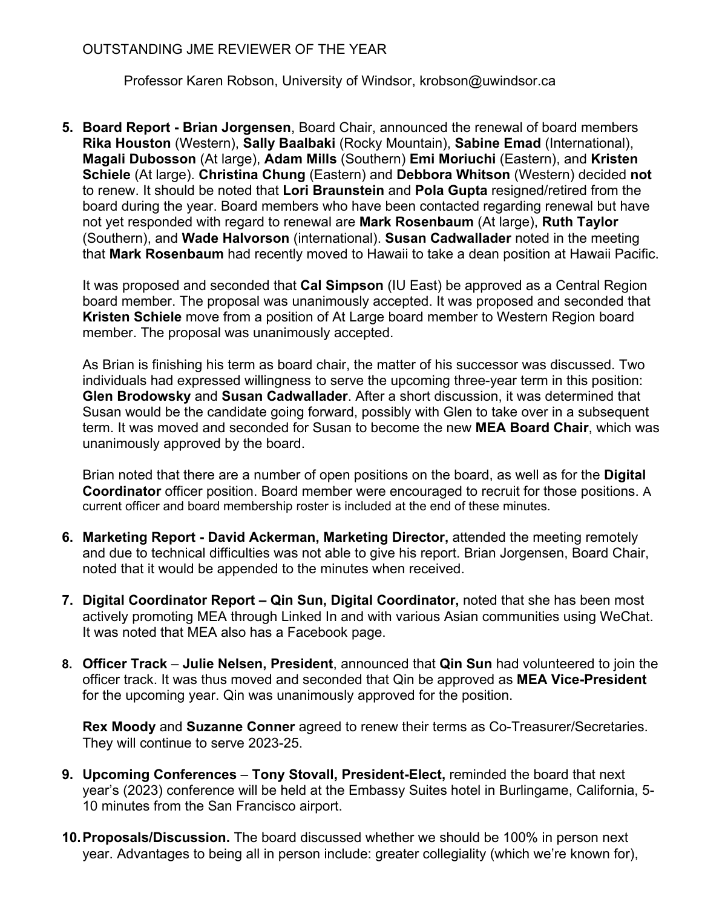## OUTSTANDING JME REVIEWER OF THE YEAR

Professor Karen Robson, University of Windsor, [krobson@uwindsor.ca](mailto:krobson@uwindsor.ca)

**5. Board Report - Brian Jorgensen**, Board Chair, announced the renewal of board members **Rika Houston** (Western), **Sally Baalbaki** (Rocky Mountain), **Sabine Emad** (International), **Magali Dubosson** (At large), **Adam Mills** (Southern) **Emi Moriuchi** (Eastern), and **Kristen Schiele** (At large). **Christina Chung** (Eastern) and **Debbora Whitson** (Western) decided **not**  to renew. It should be noted that **Lori Braunstein** and **Pola Gupta** resigned/retired from the board during the year. Board members who have been contacted regarding renewal but have not yet responded with regard to renewal are **Mark Rosenbaum** (At large), **Ruth Taylor** (Southern), and **Wade Halvorson** (international). **Susan Cadwallader** noted in the meeting that **Mark Rosenbaum** had recently moved to Hawaii to take a dean position at Hawaii Pacific.

It was proposed and seconded that **Cal Simpson** (IU East) be approved as a Central Region board member. The proposal was unanimously accepted. It was proposed and seconded that **Kristen Schiele** move from a position of At Large board member to Western Region board member. The proposal was unanimously accepted.

As Brian is finishing his term as board chair, the matter of his successor was discussed. Two individuals had expressed willingness to serve the upcoming three-year term in this position: **Glen Brodowsky** and **Susan Cadwallader**. After a short discussion, it was determined that Susan would be the candidate going forward, possibly with Glen to take over in a subsequent term. It was moved and seconded for Susan to become the new **MEA Board Chair**, which was unanimously approved by the board.

Brian noted that there are a number of open positions on the board, as well as for the **Digital Coordinator** officer position. Board member were encouraged to recruit for those positions. A current officer and board membership roster is included at the end of these minutes.

- **6. Marketing Report - David Ackerman, Marketing Director,** attended the meeting remotely and due to technical difficulties was not able to give his report. Brian Jorgensen, Board Chair, noted that it would be appended to the minutes when received.
- **7. Digital Coordinator Report – Qin Sun, Digital Coordinator,** noted that she has been most actively promoting MEA through Linked In and with various Asian communities using WeChat. It was noted that MEA also has a Facebook page.
- **8. Officer Track Julie Nelsen, President**, announced that **Qin Sun** had volunteered to join the officer track. It was thus moved and seconded that Qin be approved as **MEA Vice-President** for the upcoming year. Qin was unanimously approved for the position.

**Rex Moody** and **Suzanne Conner** agreed to renew their terms as Co-Treasurer/Secretaries. They will continue to serve 2023-25.

- **9. Upcoming Conferences Tony Stovall, President-Elect,** reminded the board that next year's (2023) conference will be held at the Embassy Suites hotel in Burlingame, California, 5- 10 minutes from the San Francisco airport.
- **10.Proposals/Discussion.** The board discussed whether we should be 100% in person next year. Advantages to being all in person include: greater collegiality (which we're known for),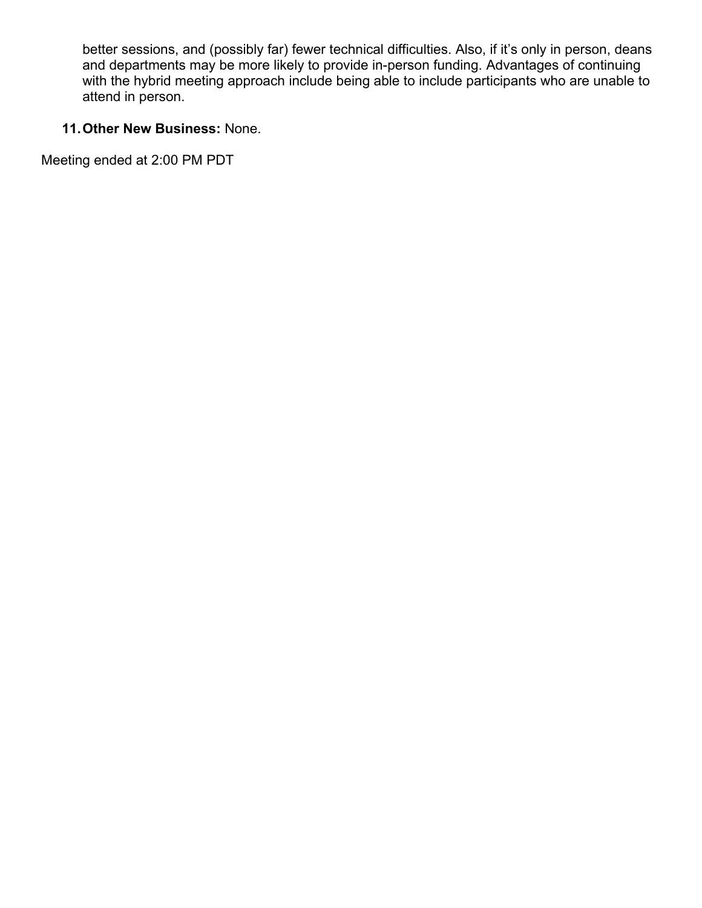better sessions, and (possibly far) fewer technical difficulties. Also, if it's only in person, deans and departments may be more likely to provide in-person funding. Advantages of continuing with the hybrid meeting approach include being able to include participants who are unable to attend in person.

# **11.Other New Business:** None.

Meeting ended at 2:00 PM PDT